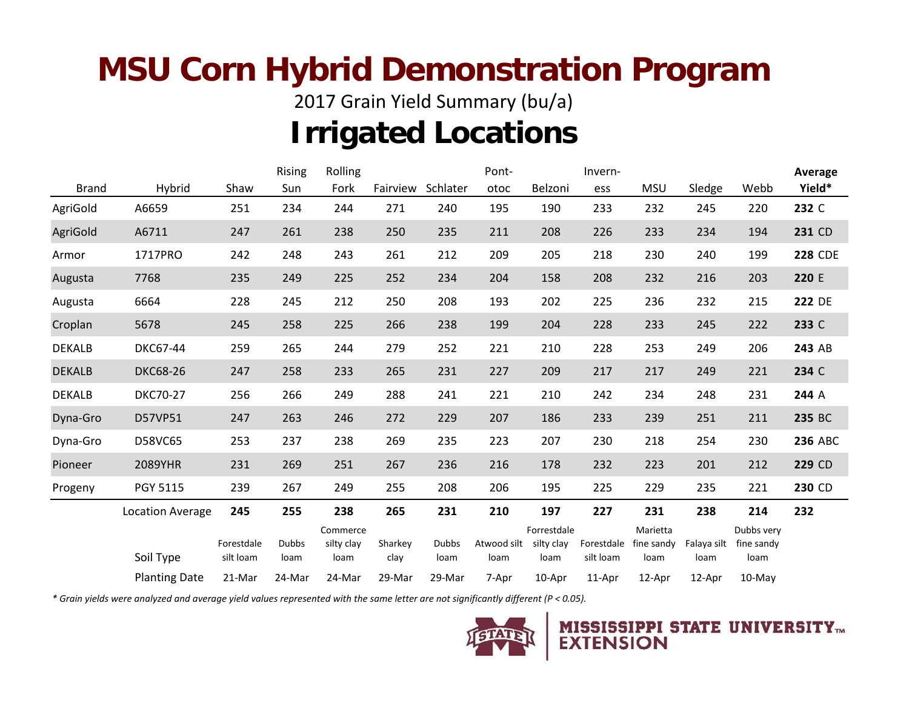## **MSU Corn Hybrid Demonstration Program**

2017 Grain Yield Summary (bu/a)

## **Irrigated Locations**

|               |                      |                         | <b>Rising</b>        | Rolling            |                 |                      | Pont-               |                    | Invern-                 |                    |                     |                    | Average        |
|---------------|----------------------|-------------------------|----------------------|--------------------|-----------------|----------------------|---------------------|--------------------|-------------------------|--------------------|---------------------|--------------------|----------------|
| <b>Brand</b>  | Hybrid               | Shaw                    | Sun                  | Fork               | Fairview        | Schlater             | otoc                | Belzoni            | ess                     | <b>MSU</b>         | Sledge              | Webb               | Yield*         |
| AgriGold      | A6659                | 251                     | 234                  | 244                | 271             | 240                  | 195                 | 190                | 233                     | 232                | 245                 | 220                | 232 C          |
| AgriGold      | A6711                | 247                     | 261                  | 238                | 250             | 235                  | 211                 | 208                | 226                     | 233                | 234                 | 194                | 231 CD         |
| Armor         | 1717PRO              | 242                     | 248                  | 243                | 261             | 212                  | 209                 | 205                | 218                     | 230                | 240                 | 199                | <b>228 CDE</b> |
| Augusta       | 7768                 | 235                     | 249                  | 225                | 252             | 234                  | 204                 | 158                | 208                     | 232                | 216                 | 203                | 220 E          |
| Augusta       | 6664                 | 228                     | 245                  | 212                | 250             | 208                  | 193                 | 202                | 225                     | 236                | 232                 | 215                | 222 DE         |
| Croplan       | 5678                 | 245                     | 258                  | 225                | 266             | 238                  | 199                 | 204                | 228                     | 233                | 245                 | 222                | 233 C          |
| <b>DEKALB</b> | <b>DKC67-44</b>      | 259                     | 265                  | 244                | 279             | 252                  | 221                 | 210                | 228                     | 253                | 249                 | 206                | 243 AB         |
| <b>DEKALB</b> | <b>DKC68-26</b>      | 247                     | 258                  | 233                | 265             | 231                  | 227                 | 209                | 217                     | 217                | 249                 | 221                | 234 C          |
| <b>DEKALB</b> | <b>DKC70-27</b>      | 256                     | 266                  | 249                | 288             | 241                  | 221                 | 210                | 242                     | 234                | 248                 | 231                | 244 A          |
| Dyna-Gro      | D57VP51              | 247                     | 263                  | 246                | 272             | 229                  | 207                 | 186                | 233                     | 239                | 251                 | 211                | 235 BC         |
| Dyna-Gro      | D58VC65              | 253                     | 237                  | 238                | 269             | 235                  | 223                 | 207                | 230                     | 218                | 254                 | 230                | <b>236 ABC</b> |
| Pioneer       | 2089YHR              | 231                     | 269                  | 251                | 267             | 236                  | 216                 | 178                | 232                     | 223                | 201                 | 212                | 229 CD         |
| Progeny       | PGY 5115             | 239                     | 267                  | 249                | 255             | 208                  | 206                 | 195                | 225                     | 229                | 235                 | 221                | 230 CD         |
|               | Location Average     | 245                     | 255                  | 238                | 265             | 231                  | 210                 | 197                | 227                     | 231                | 238                 | 214                | 232            |
|               |                      |                         |                      | Commerce           |                 |                      |                     | Forrestdale        |                         | Marietta           |                     | Dubbs very         |                |
|               | Soil Type            | Forestdale<br>silt loam | <b>Dubbs</b><br>loam | silty clay<br>loam | Sharkey<br>clay | <b>Dubbs</b><br>loam | Atwood silt<br>loam | silty clay<br>loam | Forestdale<br>silt loam | fine sandy<br>loam | Falaya silt<br>loam | fine sandy<br>loam |                |
|               | <b>Planting Date</b> | 21-Mar                  | 24-Mar               | 24-Mar             | 29-Mar          | 29-Mar               | 7-Apr               | 10-Apr             | 11-Apr                  | 12-Apr             | 12-Apr              | $10$ -May          |                |

*\* Grain yields were analyzed and average yield values represented with the same letter are not significantly different (P < 0.05).*